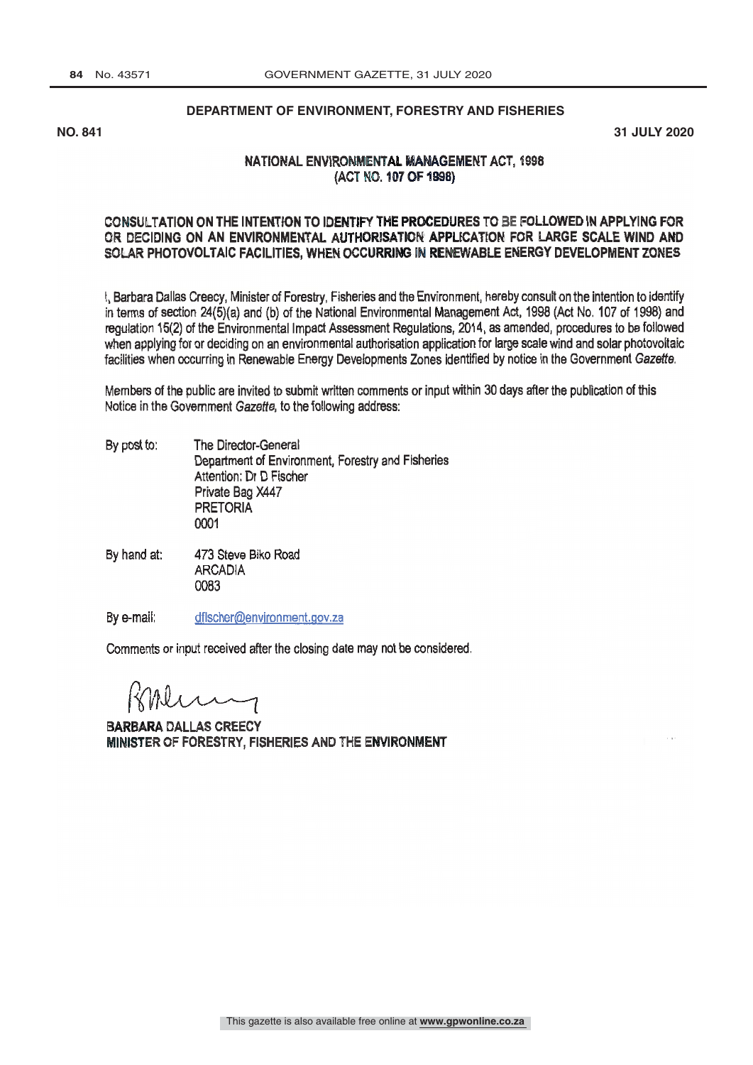#### **DEPARTMENT OF ENVIRONMENT, FORESTRY AND FISHERIES**

**NO. 841 31 JULY 2020**

### NATIONAL ENVIRONMENTAL MANAGEMENT ACT. 1998 (ACT NO. 107 OF 1998)

#### CONSULTATION ON THE INTENTION TO IDENTIFY THE PROCEDURES TO BE FOLLOWED IN APPLYING FOR OR DECIDING ON AN ENVIRONMENTAL AUTHORISATION APPLICATION FOR LARGE SCALE WIND AND SOLAR PHOTOVOLTAIC FACILITIES, WHEN OCCURRING IN RENEWABLE ENERGY DEVELOPMENT ZONES

I, Barbara Dallas Creecy, Minister of Forestry, Fisheries and the Environment, hereby consult on the intention to identify in terms of section 24(5)(a) and (b) of the National Environmental Management Act, 1998 (Act No. 107 of 1998) and regulation 15(2) of the Environmental Impact Assessment Regulations, 2014, as amended, procedures to be followed when applying for or deciding on an environmental authorisation application for large scale wind and solar photovoltaic facilities when occurring in Renewable Energy Developments Zones identified by notice in the Government Gazette.

Members of the public are invited to submit written comments or input within 30 days after the publication of this Notice in the Government Gazette, to the following address:

- By post to: The Director -General Department of Environment, Forestry and Fisheries Attention: Dr D Fischer Private Bag X447 **PRETORIA** 0001
- By hand at: 473 Steve Biko Road **ARCADIA** 0083

By e-mail: dfischer@environment.gov.za

Comments or input received after the closing date may not be considered.

**BARBARA DALLAS CREECY** MINISTER OF FORESTRY. FISHERIES AND THE ENVIRONMENT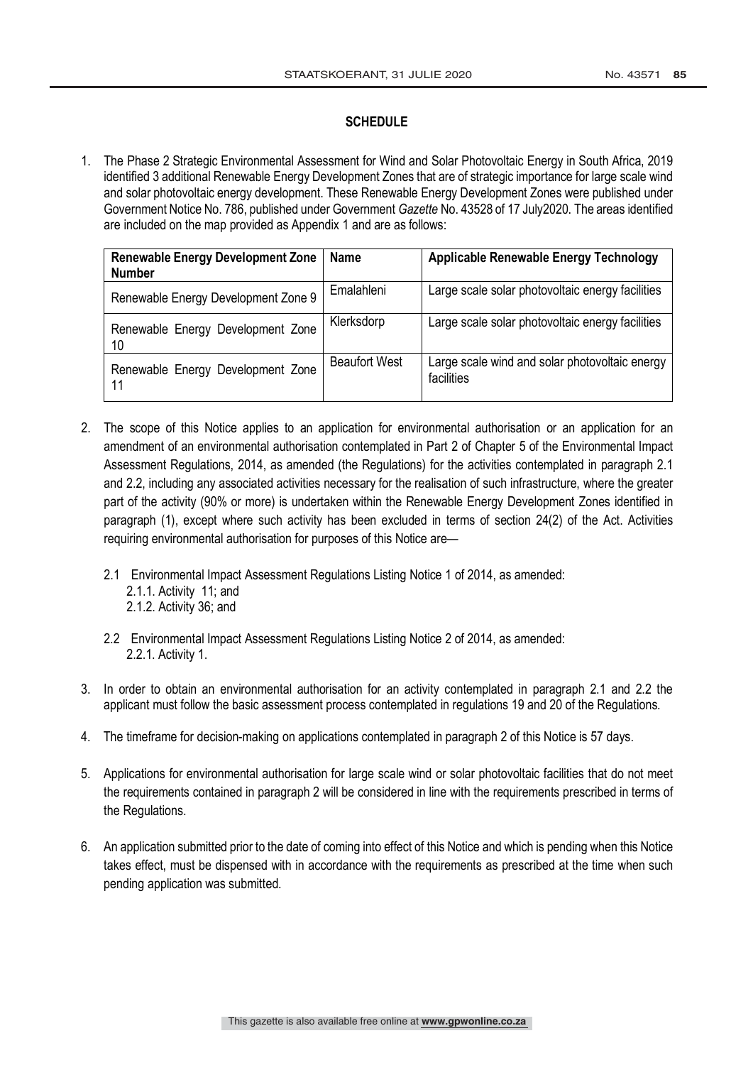## **SCHEDULE**

1. The Phase 2 Strategic Environmental Assessment for Wind and Solar Photovoltaic Energy in South Africa, 2019 identified 3 additional Renewable Energy Development Zones that are of strategic importance for large scale wind and solar photovoltaic energy development. These Renewable Energy Development Zones were published under Government Notice No. 786, published under Government *Gazette* No. 43528 of 17 July2020. The areas identified are included on the map provided as Appendix 1 and are as follows:

| <b>Renewable Energy Development Zone</b><br><b>Number</b> | <b>Name</b>          | <b>Applicable Renewable Energy Technology</b>                |
|-----------------------------------------------------------|----------------------|--------------------------------------------------------------|
| Renewable Energy Development Zone 9                       | Emalahleni           | Large scale solar photovoltaic energy facilities             |
| Renewable Energy Development Zone<br>10                   | Klerksdorp           | Large scale solar photovoltaic energy facilities             |
| Renewable Energy Development Zone<br>11                   | <b>Beaufort West</b> | Large scale wind and solar photovoltaic energy<br>facilities |

- 2. The scope of this Notice applies to an application for environmental authorisation or an application for an amendment of an environmental authorisation contemplated in Part 2 of Chapter 5 of the Environmental Impact Assessment Regulations, 2014, as amended (the Regulations) for the activities contemplated in paragraph 2.1 and 2.2, including any associated activities necessary for the realisation of such infrastructure, where the greater part of the activity (90% or more) is undertaken within the Renewable Energy Development Zones identified in paragraph (1), except where such activity has been excluded in terms of section 24(2) of the Act. Activities requiring environmental authorisation for purposes of this Notice are—
	- 2.1 Environmental Impact Assessment Regulations Listing Notice 1 of 2014, as amended: 2.1.1. Activity 11; and 2.1.2. Activity 36; and
	- 2.2 Environmental Impact Assessment Regulations Listing Notice 2 of 2014, as amended: 2.2.1. Activity 1.
- 3. In order to obtain an environmental authorisation for an activity contemplated in paragraph 2.1 and 2.2 the applicant must follow the basic assessment process contemplated in regulations 19 and 20 of the Regulations.
- 4. The timeframe for decision-making on applications contemplated in paragraph 2 of this Notice is 57 days.
- 5. Applications for environmental authorisation for large scale wind or solar photovoltaic facilities that do not meet the requirements contained in paragraph 2 will be considered in line with the requirements prescribed in terms of the Regulations.
- 6. An application submitted prior to the date of coming into effect of this Notice and which is pending when this Notice takes effect, must be dispensed with in accordance with the requirements as prescribed at the time when such pending application was submitted.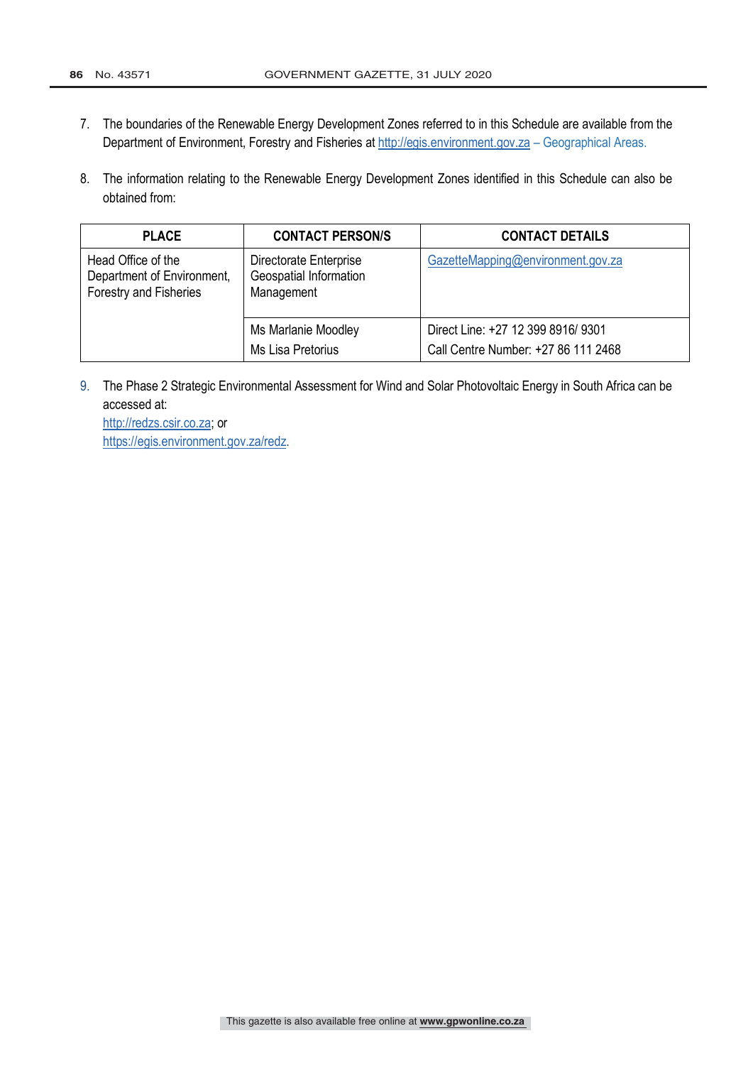- 7. The boundaries of the Renewable Energy Development Zones referred to in this Schedule are available from the Department of Environment, Forestry and Fisheries at http://egis.environment.gov.za - Geographical Areas.
- 8. The information relating to the Renewable Energy Development Zones identified in this Schedule can also be obtained from:

| <b>PLACE</b>                                                               | <b>CONTACT PERSON/S</b>                                        | <b>CONTACT DETAILS</b>                                                    |
|----------------------------------------------------------------------------|----------------------------------------------------------------|---------------------------------------------------------------------------|
| Head Office of the<br>Department of Environment,<br>Forestry and Fisheries | Directorate Enterprise<br>Geospatial Information<br>Management | GazetteMapping@environment.gov.za                                         |
|                                                                            | Ms Marlanie Moodley<br>Ms Lisa Pretorius                       | Direct Line: +27 12 399 8916/ 9301<br>Call Centre Number: +27 86 111 2468 |

9. The Phase 2 Strategic Environmental Assessment for Wind and Solar Photovoltaic Energy in South Africa can be accessed at:

http://redzs.csir.co.za; or https://egis.environment.gov.za/redz.